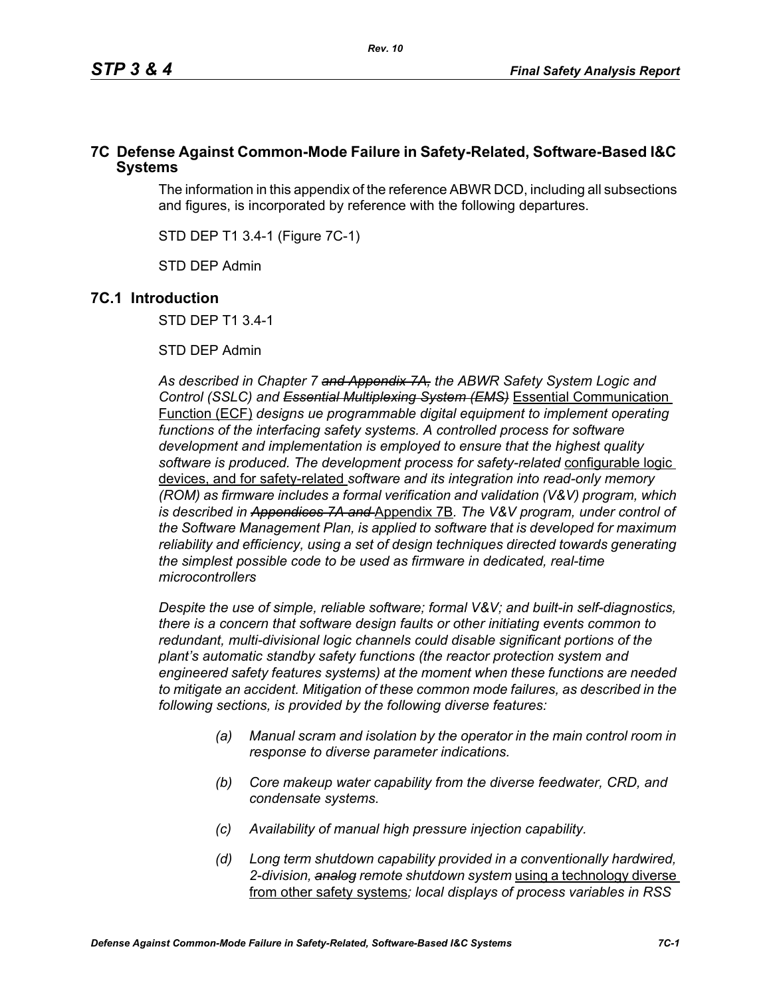# **7C Defense Against Common-Mode Failure in Safety-Related, Software-Based I&C Systems**

The information in this appendix of the reference ABWR DCD, including all subsections and figures, is incorporated by reference with the following departures.

STD DEP T1 3.4-1 (Figure 7C-1)

STD DEP Admin

## **7C.1 Introduction**

STD DEP T1 3.4-1

STD DEP Admin

*As described in Chapter 7 and Appendix 7A, the ABWR Safety System Logic and Control (SSLC) and Essential Multiplexing System (EMS)* Essential Communication Function (ECF) *designs ue programmable digital equipment to implement operating*  functions of the interfacing safety systems. A controlled process for software *development and implementation is employed to ensure that the highest quality software is produced. The development process for safety-related* configurable logic devices, and for safety-related *software and its integration into read-only memory (ROM) as firmware includes a formal verification and validation (V&V) program, which is described in Appendices 7A and* Appendix 7B*. The V&V program, under control of the Software Management Plan, is applied to software that is developed for maximum reliability and efficiency, using a set of design techniques directed towards generating the simplest possible code to be used as firmware in dedicated, real-time microcontrollers*

*Despite the use of simple, reliable software; formal V&V; and built-in self-diagnostics, there is a concern that software design faults or other initiating events common to redundant, multi-divisional logic channels could disable significant portions of the plant's automatic standby safety functions (the reactor protection system and engineered safety features systems) at the moment when these functions are needed to mitigate an accident. Mitigation of these common mode failures, as described in the following sections, is provided by the following diverse features:*

- *(a) Manual scram and isolation by the operator in the main control room in response to diverse parameter indications.*
- *(b) Core makeup water capability from the diverse feedwater, CRD, and condensate systems.*
- *(c) Availability of manual high pressure injection capability.*
- *(d) Long term shutdown capability provided in a conventionally hardwired, 2-division, analog remote shutdown system* using a technology diverse from other safety systems*; local displays of process variables in RSS*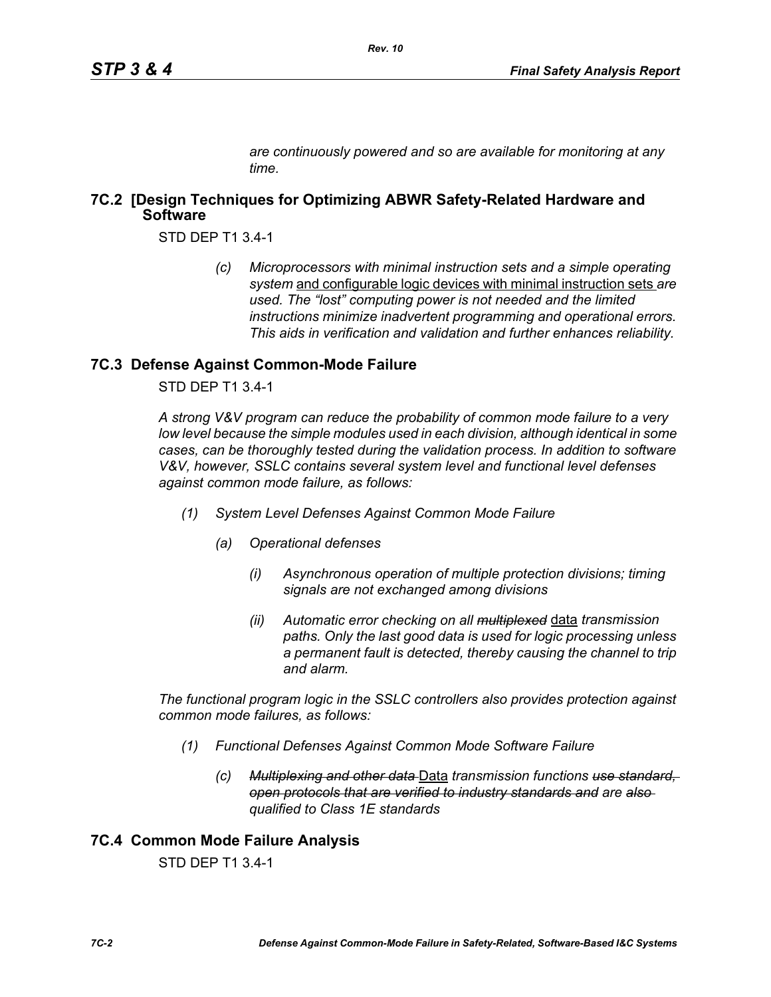*are continuously powered and so are available for monitoring at any time.*

# **7C.2 [Design Techniques for Optimizing ABWR Safety-Related Hardware and Software**

STD DEP T1 3.4-1

*(c) Microprocessors with minimal instruction sets and a simple operating system* and configurable logic devices with minimal instruction sets *are used. The "lost" computing power is not needed and the limited instructions minimize inadvertent programming and operational errors. This aids in verification and validation and further enhances reliability.*

# **7C.3 Defense Against Common-Mode Failure**

STD DEP T1 3.4-1

*A strong V&V program can reduce the probability of common mode failure to a very low level because the simple modules used in each division, although identical in some cases, can be thoroughly tested during the validation process. In addition to software V&V, however, SSLC contains several system level and functional level defenses against common mode failure, as follows:*

- *(1) System Level Defenses Against Common Mode Failure*
	- *(a) Operational defenses*
		- *(i) Asynchronous operation of multiple protection divisions; timing signals are not exchanged among divisions*
		- *(ii) Automatic error checking on all multiplexed* data *transmission paths. Only the last good data is used for logic processing unless a permanent fault is detected, thereby causing the channel to trip and alarm.*

*The functional program logic in the SSLC controllers also provides protection against common mode failures, as follows:*

- *(1) Functional Defenses Against Common Mode Software Failure*
	- *(c) Multiplexing and other data* Data *transmission functions use standard, open protocols that are verified to industry standards and are also qualified to Class 1E standards*

# **7C.4 Common Mode Failure Analysis**

STD DEP T1 3.4-1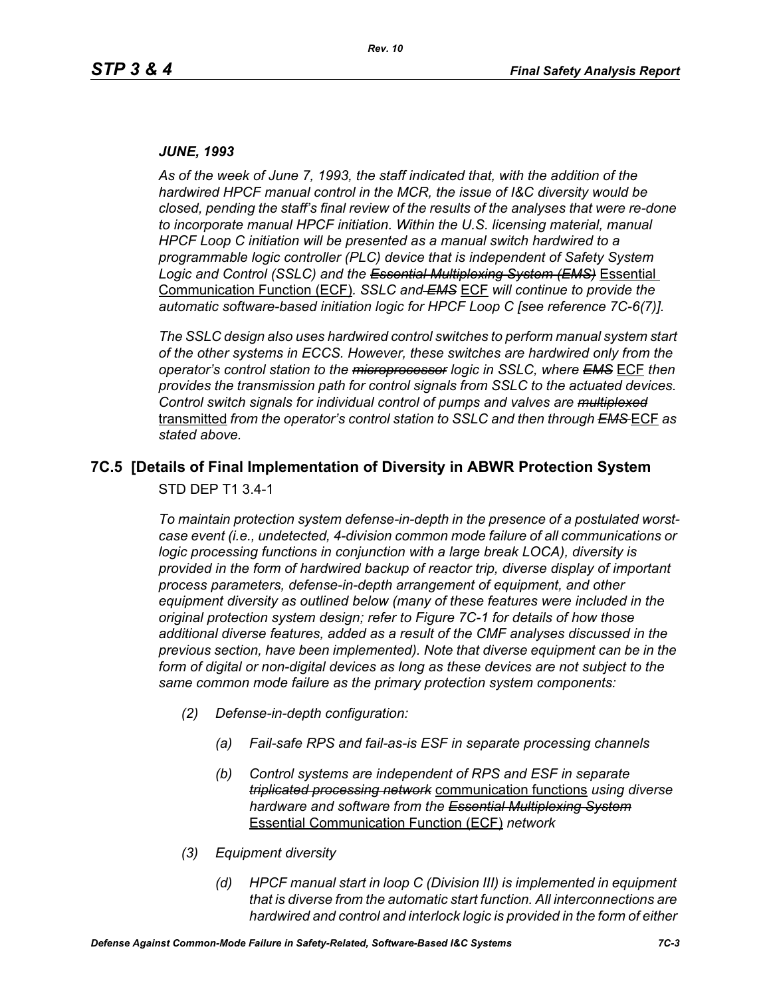#### *JUNE, 1993*

*As of the week of June 7, 1993, the staff indicated that, with the addition of the hardwired HPCF manual control in the MCR, the issue of I&C diversity would be closed, pending the staff's final review of the results of the analyses that were re-done to incorporate manual HPCF initiation. Within the U.S. licensing material, manual HPCF Loop C initiation will be presented as a manual switch hardwired to a programmable logic controller (PLC) device that is independent of Safety System Logic and Control (SSLC) and the Essential Multiplexing System (EMS)* Essential Communication Function (ECF)*. SSLC and EMS* ECF *will continue to provide the automatic software-based initiation logic for HPCF Loop C [see reference 7C-6(7)].*

*The SSLC design also uses hardwired control switches to perform manual system start of the other systems in ECCS. However, these switches are hardwired only from the operator's control station to the microprocessor logic in SSLC, where EMS* ECF *then provides the transmission path for control signals from SSLC to the actuated devices. Control switch signals for individual control of pumps and valves are multiplexed* transmitted *from the operator's control station to SSLC and then through EMS* ECF *as stated above.*

# **7C.5 [Details of Final Implementation of Diversity in ABWR Protection System**

STD DEP T1 3.4-1

*To maintain protection system defense-in-depth in the presence of a postulated worstcase event (i.e., undetected, 4-division common mode failure of all communications or logic processing functions in conjunction with a large break LOCA), diversity is provided in the form of hardwired backup of reactor trip, diverse display of important process parameters, defense-in-depth arrangement of equipment, and other equipment diversity as outlined below (many of these features were included in the original protection system design; refer to Figure 7C-1 for details of how those additional diverse features, added as a result of the CMF analyses discussed in the previous section, have been implemented). Note that diverse equipment can be in the*  form of digital or non-digital devices as long as these devices are not subject to the *same common mode failure as the primary protection system components:*

- *(2) Defense-in-depth configuration:*
	- *(a) Fail-safe RPS and fail-as-is ESF in separate processing channels*
	- *(b) Control systems are independent of RPS and ESF in separate triplicated processing network* communication functions *using diverse hardware and software from the Essential Multiplexing System* Essential Communication Function (ECF) *network*
- *(3) Equipment diversity*
	- *(d) HPCF manual start in loop C (Division III) is implemented in equipment that is diverse from the automatic start function. All interconnections are hardwired and control and interlock logic is provided in the form of either*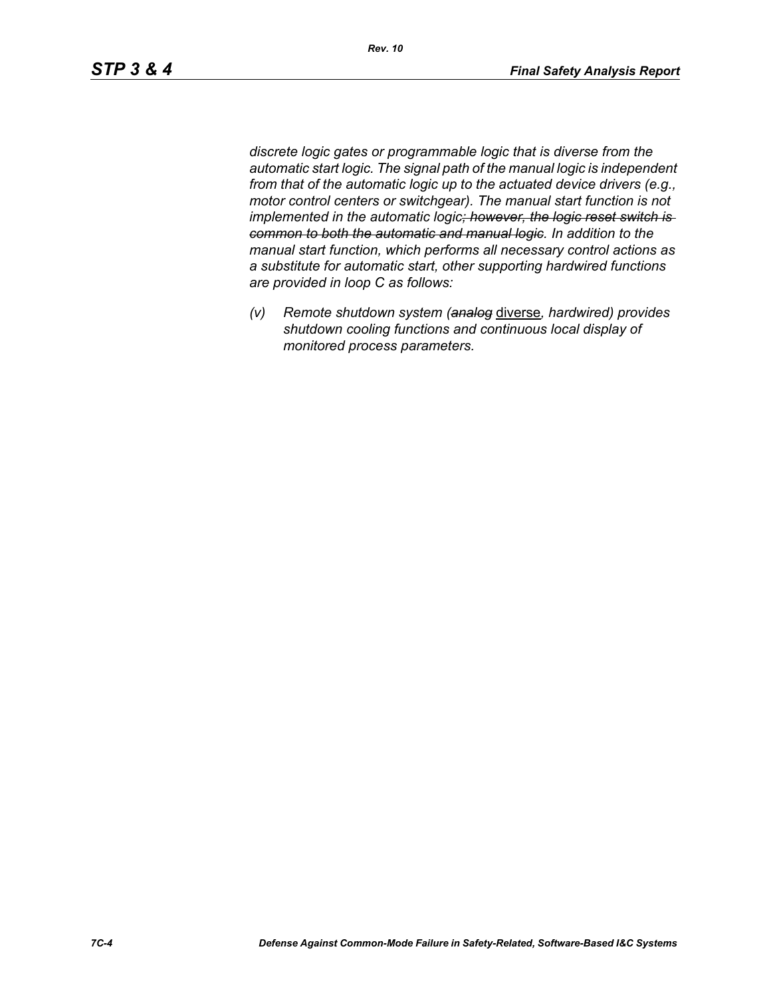*discrete logic gates or programmable logic that is diverse from the automatic start logic. The signal path of the manual logic is independent from that of the automatic logic up to the actuated device drivers (e.g., motor control centers or switchgear). The manual start function is not implemented in the automatic logic; however, the logic reset switch is common to both the automatic and manual logic. In addition to the manual start function, which performs all necessary control actions as a substitute for automatic start, other supporting hardwired functions are provided in loop C as follows:*

*(v) Remote shutdown system (analog* diverse*, hardwired) provides shutdown cooling functions and continuous local display of monitored process parameters.*